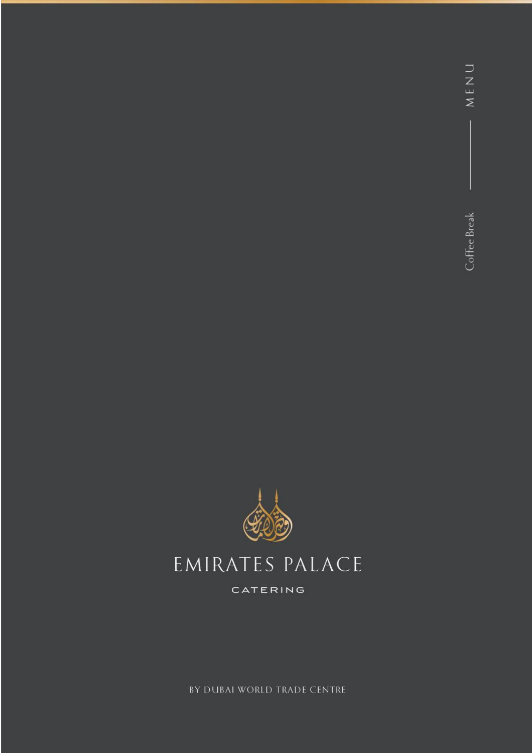NENU Coffee Break



CATERING

BY DUBAI WORLD TRADE CENTRE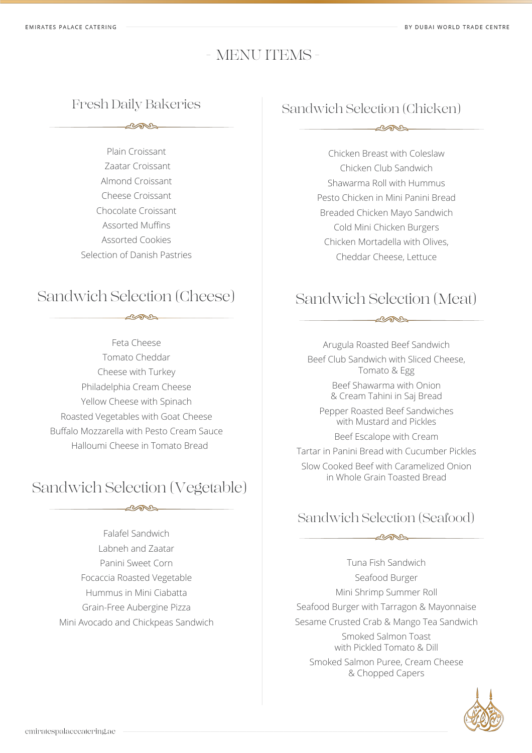## - MENU ITEMS -

## Fresh Daily Bakeries

Plain Croissant Zaatar Croissant Almond Croissant Cheese Croissant Chocolate Croissant Assorted Muffins Assorted Cookies Selection of Danish Pastries

# Sandwich Selection (Cheese)

CARS

Feta Cheese Tomato Cheddar Cheese with Turkey Philadelphia Cream Cheese Yellow Cheese with Spinach Roasted Vegetables with Goat Cheese Buffalo Mozzarella with Pesto Cream Sauce Halloumi Cheese in Tomato Bread

# Sandwich Selection (Vegetable)

 $R_{\rm max}$ 

Falafel Sandwich Labneh and Zaatar Panini Sweet Corn Focaccia Roasted Vegetable Hummus in Mini Ciabatta Grain-Free Aubergine Pizza Mini Avocado and Chickpeas Sandwich

#### Sandwich Selection (Chicken)

Chicken Breast with Coleslaw Chicken Club Sandwich Shawarma Roll with Hummus Pesto Chicken in Mini Panini Bread Breaded Chicken Mayo Sandwich Cold Mini Chicken Burgers Chicken Mortadella with Olives, Cheddar Cheese, Lettuce

# Sandwich Selection (Meat)

**COMPS** 

Arugula Roasted Beef Sandwich Beef Club Sandwich with Sliced Cheese, Tomato & Egg

> Beef Shawarma with Onion & Cream Tahini in Saj Bread

Pepper Roasted Beef Sandwiches with Mustard and Pickles

Beef Escalope with Cream

Tartar in Panini Bread with Cucumber Pickles

Slow Cooked Beef with Caramelized Onion in Whole Grain Toasted Bread

### Sandwich Selection (Seafood)

**CONS** 

Tuna Fish Sandwich Seafood Burger Mini Shrimp Summer Roll Seafood Burger with Tarragon & Mayonnaise Sesame Crusted Crab & Mango Tea Sandwich Smoked Salmon Toast with Pickled Tomato & Dill Smoked Salmon Puree, Cream Cheese & Chopped Capers

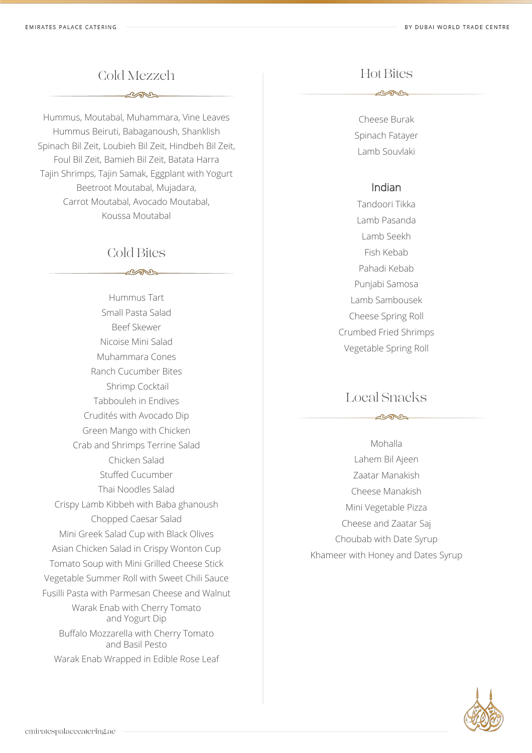## Cold Mezzeh

 $\sim$ 

Hummus, Moutabal, Muhammara, Vine Leaves Hummus Beiruti, Babaganoush, Shanklish Spinach Bil Zeit, Loubieh Bil Zeit, Hindbeh Bil Zeit, Foul Bil Zeit, Bamieh Bil Zeit, Batata Harra Tajin Shrimps, Tajin Samak, Eggplant with Yogurt Beetroot Moutabal, Mujadara, Carrot Moutabal, Avocado Moutabal, Koussa Moutabal

#### Cold Bites

 $2000$ 

Hummus Tart Small Pasta Salad Beef Skewer Nicoise Mini Salad Muhammara Cones Ranch Cucumber Bites Shrimp Cocktail Tabbouleh in Endives Crudités with Avocado Dip Green Mango with Chicken Crab and Shrimps Terrine Salad Chicken Salad Stuffed Cucumber Thai Noodles Salad Crispy Lamb Kibbeh with Baba ghanoush Chopped Caesar Salad Mini Greek Salad Cup with Black Olives Asian Chicken Salad in Crispy Wonton Cup Tomato Soup with Mini Grilled Cheese Stick Vegetable Summer Roll with Sweet Chili Sauce Fusilli Pasta with Parmesan Cheese and Walnut Warak Enab with Cherry Tomato and Yogurt Dip Buffalo Mozzarella with Cherry Tomato and Basil Pesto Warak Enab Wrapped in Edible Rose Leaf

#### Hot Bites

 $2000$ 

Cheese Burak Spinach Fatayer Lamb Souvlaki

#### Indian

Tandoori Tikka Lamb Pasanda Lamb Seekh Fish Kebab Pahadi Kebab Punjabi Samosa Lamb Sambousek Cheese Spring Roll Crumbed Fried Shrimps Vegetable Spring Roll

#### Local Snacks

#### $2000$

Mohalla Lahem Bil Ajeen Zaatar Manakish Cheese Manakish Mini Vegetable Pizza Cheese and Zaatar Saj Choubab with Date Syrup Khameer with Honey and Dates Syrup

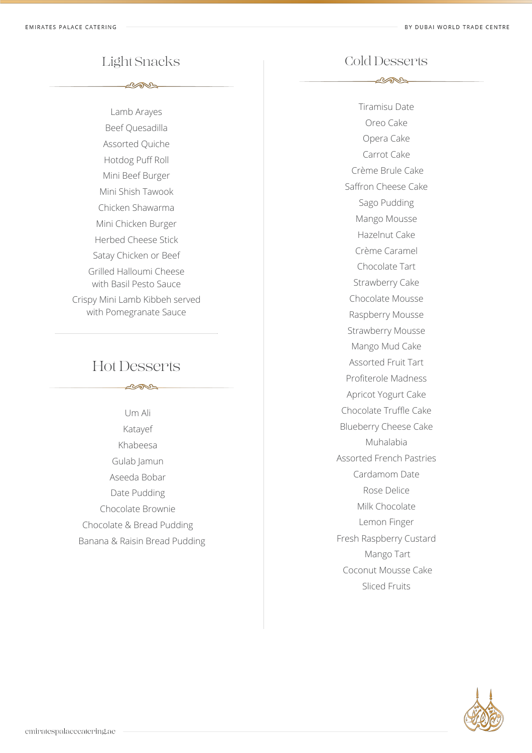#### Light Snacks

Lamb Aray e s Beef Quesadilla Assorted Quiche Hotdog Puff Roll Mini Beef Burger Mini Shish Tawook Chicken Shawarma Mini Chicken Burger Herbed Cheese Stick Satay Chicken or Beef Grilled Halloumi Cheese with Basil Pesto Sauce Crispy Mini Lamb Kibbeh served with Pomegranate Sauce

### Hot Desserts

l,

Um Ali Katayef Khabeesa Gulab Jamun Aseeda Bobar Date Pudding Chocolate Brownie Chocolate & Bread Pudding Banana & Raisin Bread Pudding

#### Cold Desserts

#### $2000$

Tiramisu Date Oreo Cake Opera Cake Carrot Cake Crème Brule Cake Saffron Cheese Cake Sago Pudding Mango Mousse Hazelnut Cake Crème Caramel Chocolate Tart Strawberry Cake Chocolate Mousse Raspberry Mousse Strawberry Mousse Mango Mud Cake Assorted Fruit Tart Profiterole Madness Apricot Yogurt Cake Chocolate Truffle Cake Blueberry Cheese Cake Muhalabia Assorted French Pastries Cardamo m Date Rose Delice Milk Chocolate Lemon Finger Fresh Raspberry Custard Mango Tart Coconut Mousse Cake Sliced Fruits

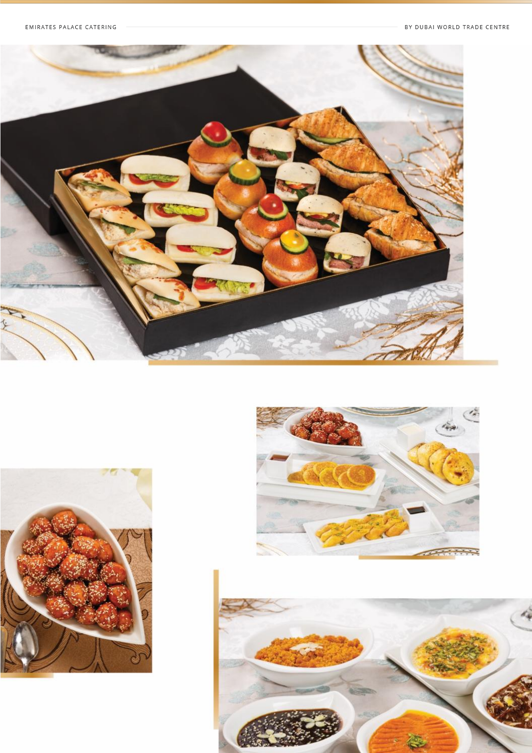